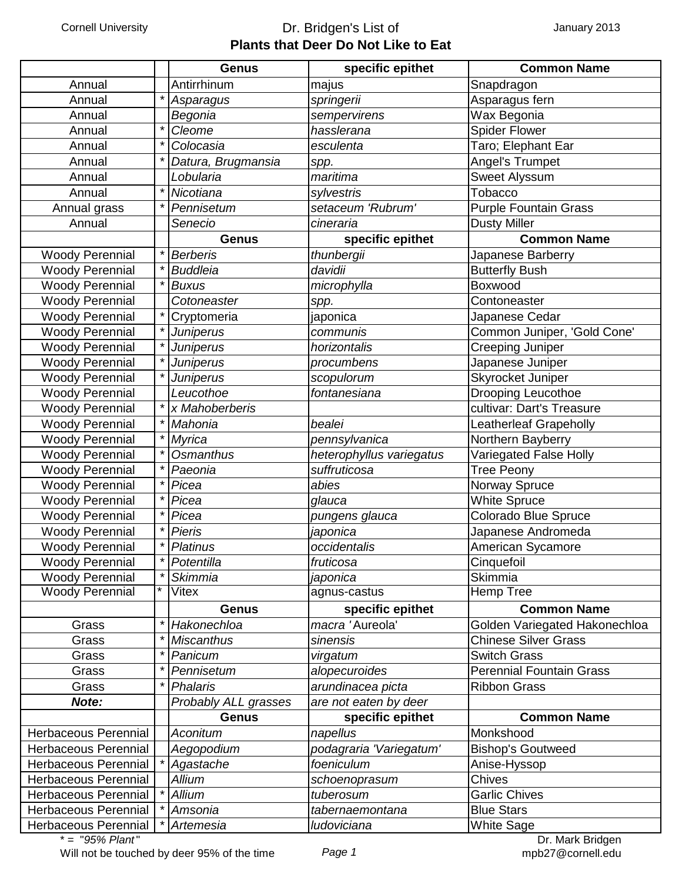## Cornell University **Dr. Bridgen's List of Plants that Deer Do Not Like to Eat**

|                             |         | <b>Genus</b>         | specific epithet         | <b>Common Name</b>              |
|-----------------------------|---------|----------------------|--------------------------|---------------------------------|
| Annual                      |         | Antirrhinum          | majus                    | Snapdragon                      |
| Annual                      | $\star$ | Asparagus            | springerii               | Asparagus fern                  |
| Annual                      |         | Begonia              | sempervirens             | Wax Begonia                     |
| Annual                      | $\star$ | Cleome               | hasslerana               | <b>Spider Flower</b>            |
| Annual                      | $\star$ | Colocasia            | esculenta                | Taro; Elephant Ear              |
| Annual                      | $\star$ | Datura, Brugmansia   | spp.                     | Angel's Trumpet                 |
| Annual                      |         | Lobularia            | maritima                 | Sweet Alyssum                   |
| Annual                      | $\star$ | Nicotiana            | sylvestris               | Tobacco                         |
| Annual grass                | $\star$ | Pennisetum           | setaceum 'Rubrum'        | <b>Purple Fountain Grass</b>    |
| Annual                      |         | Senecio              | cineraria                | <b>Dusty Miller</b>             |
|                             |         | <b>Genus</b>         | specific epithet         | <b>Common Name</b>              |
| <b>Woody Perennial</b>      | $\star$ | <b>Berberis</b>      | thunbergii               | Japanese Barberry               |
| <b>Woody Perennial</b>      | $\star$ | <b>Buddleia</b>      | davidii                  | <b>Butterfly Bush</b>           |
| <b>Woody Perennial</b>      | $\star$ | <b>Buxus</b>         | microphylla              | Boxwood                         |
| <b>Woody Perennial</b>      |         | Cotoneaster          | spp.                     | Contoneaster                    |
| <b>Woody Perennial</b>      | $\star$ | Cryptomeria          | japonica                 | Japanese Cedar                  |
| <b>Woody Perennial</b>      | $\star$ | <b>Juniperus</b>     | communis                 | Common Juniper, 'Gold Cone'     |
| <b>Woody Perennial</b>      | $\star$ | <b>Juniperus</b>     | horizontalis             | Creeping Juniper                |
| <b>Woody Perennial</b>      | $\star$ | Juniperus            | procumbens               | Japanese Juniper                |
| <b>Woody Perennial</b>      | $\star$ | Juniperus            | scopulorum               | Skyrocket Juniper               |
| <b>Woody Perennial</b>      |         | Leucothoe            | fontanesiana             | <b>Drooping Leucothoe</b>       |
| <b>Woody Perennial</b>      | $\star$ | x Mahoberberis       |                          | cultivar: Dart's Treasure       |
| <b>Woody Perennial</b>      | $\star$ | Mahonia              | bealei                   | <b>Leatherleaf Grapeholly</b>   |
| <b>Woody Perennial</b>      | $\star$ | <b>Myrica</b>        | pennsylvanica            | Northern Bayberry               |
| <b>Woody Perennial</b>      | $\star$ | Osmanthus            | heterophyllus variegatus | Variegated False Holly          |
| <b>Woody Perennial</b>      | $\star$ | Paeonia              | suffruticosa             | <b>Tree Peony</b>               |
| <b>Woody Perennial</b>      | $\star$ | Picea                | abies                    | Norway Spruce                   |
| <b>Woody Perennial</b>      | $\star$ | Picea                | glauca                   | <b>White Spruce</b>             |
| <b>Woody Perennial</b>      | $\star$ | Picea                | pungens glauca           | Colorado Blue Spruce            |
| <b>Woody Perennial</b>      | $\star$ | Pieris               | japonica                 | Japanese Andromeda              |
| <b>Woody Perennial</b>      | $\star$ | Platinus             | occidentalis             | American Sycamore               |
| <b>Woody Perennial</b>      |         | Potentilla           | fruticosa                | Cinquefoil                      |
| <b>Woody Perennial</b>      | $\star$ | <b>Skimmia</b>       | japonica                 | Skimmia                         |
| <b>Woody Perennial</b>      | $\star$ | Vitex                | agnus-castus             | Hemp Tree                       |
|                             |         | <b>Genus</b>         | specific epithet         | <b>Common Name</b>              |
| Grass                       | $\star$ | Hakonechloa          | macra 'Aureola'          | Golden Variegated Hakonechloa   |
| Grass                       | $\star$ | <b>Miscanthus</b>    | sinensis                 | <b>Chinese Silver Grass</b>     |
| Grass                       | $\star$ | Panicum              | virgatum                 | <b>Switch Grass</b>             |
| Grass                       | $\star$ | Pennisetum           | alopecuroides            | <b>Perennial Fountain Grass</b> |
| Grass                       | $\star$ | <b>Phalaris</b>      | arundinacea picta        | <b>Ribbon Grass</b>             |
| Note:                       |         | Probably ALL grasses | are not eaten by deer    |                                 |
|                             |         | <b>Genus</b>         | specific epithet         | <b>Common Name</b>              |
| Herbaceous Perennial        |         | Aconitum             | napellus                 | Monkshood                       |
| <b>Herbaceous Perennial</b> |         | Aegopodium           | podagraria 'Variegatum'  | <b>Bishop's Goutweed</b>        |
| <b>Herbaceous Perennial</b> |         | Agastache            | foeniculum               | Anise-Hyssop                    |
| <b>Herbaceous Perennial</b> |         | <b>Allium</b>        | schoenoprasum            | <b>Chives</b>                   |
| <b>Herbaceous Perennial</b> |         | Allium               | tuberosum                | <b>Garlic Chives</b>            |
| <b>Herbaceous Perennial</b> |         | Amsonia              | tabernaemontana          | <b>Blue Stars</b>               |
| Herbaceous Perennial        |         | Artemesia            | ludoviciana              | <b>White Sage</b>               |